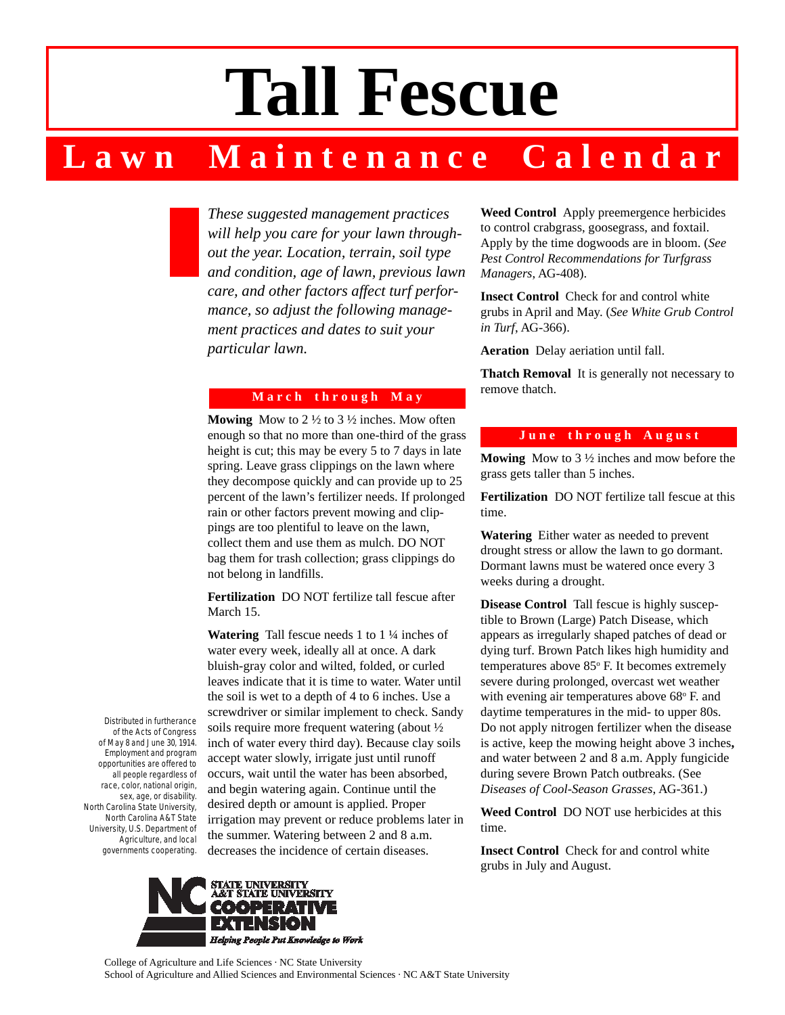# **Tall Fescue**

# **L a w n M a i n t e n a n c e C a l e n d a r**

*These suggested management practices will help you care for your lawn throughout the year. Location, terrain, soil type and condition, age of lawn, previous lawn care, and other factors affect turf performance, so adjust the following management practices and dates to suit your particular lawn.*

#### **M a r c h t h r o u g h M a y**

**Mowing** Mow to 2 ½ to 3 ½ inches. Mow often enough so that no more than one-third of the grass height is cut; this may be every 5 to 7 days in late spring. Leave grass clippings on the lawn where they decompose quickly and can provide up to 25 percent of the lawn's fertilizer needs. If prolonged rain or other factors prevent mowing and clippings are too plentiful to leave on the lawn, collect them and use them as mulch. DO NOT bag them for trash collection; grass clippings do not belong in landfills.

**Fertilization** DO NOT fertilize tall fescue after March 15.

**Watering** Tall fescue needs 1 to 1 ¼ inches of water every week, ideally all at once. A dark bluish-gray color and wilted, folded, or curled leaves indicate that it is time to water. Water until the soil is wet to a depth of 4 to 6 inches. Use a screwdriver or similar implement to check. Sandy soils require more frequent watering (about ½ inch of water every third day). Because clay soils accept water slowly, irrigate just until runoff occurs, wait until the water has been absorbed, and begin watering again. Continue until the desired depth or amount is applied. Proper irrigation may prevent or reduce problems later in the summer. Watering between 2 and 8 a.m. decreases the incidence of certain diseases.

**Weed Control** Apply preemergence herbicides to control crabgrass, goosegrass, and foxtail. Apply by the time dogwoods are in bloom. (*See Pest Control Recommendations for Turfgrass Managers*, AG-408).

**Insect Control** Check for and control white grubs in April and May. (*See White Grub Control in Turf*, AG-366).

**Aeration** Delay aeriation until fall.

**Thatch Removal** It is generally not necessary to remove thatch.

#### June through August

**Mowing** Mow to 3 ½ inches and mow before the grass gets taller than 5 inches.

**Fertilization** DO NOT fertilize tall fescue at this time.

**Watering** Either water as needed to prevent drought stress or allow the lawn to go dormant. Dormant lawns must be watered once every 3 weeks during a drought.

**Disease Control** Tall fescue is highly susceptible to Brown (Large) Patch Disease, which appears as irregularly shaped patches of dead or dying turf. Brown Patch likes high humidity and temperatures above 85° F. It becomes extremely severe during prolonged, overcast wet weather with evening air temperatures above 68° F. and daytime temperatures in the mid- to upper 80s. Do not apply nitrogen fertilizer when the disease is active, keep the mowing height above 3 inches**,** and water between 2 and 8 a.m. Apply fungicide during severe Brown Patch outbreaks. (See *Diseases of Cool-Season Grasses*, AG-361.)

**Weed Control** DO NOT use herbicides at this time.

**Insect Control** Check for and control white grubs in July and August.

Distributed in furtherance of the Acts of Congress of May 8 and June 30, 1914. Employment and program opportunities are offered to all people regardless of race, color, national origin, sex, age, or disability. North Carolina State University, North Carolina A&T State University, U.S. Department of Agriculture, and local governments cooperating.